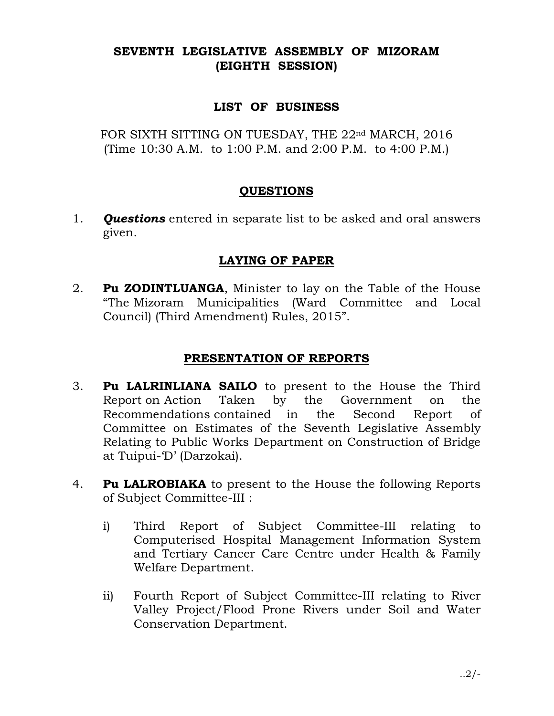# SEVENTH LEGISLATIVE ASSEMBLY OF MIZORAM (EIGHTH SESSION)

## LIST OF BUSINESS

FOR SIXTH SITTING ON TUESDAY, THE 22<sup>nd</sup> MARCH, 2016 (Time 10:30 A.M. to 1:00 P.M. and 2:00 P.M. to 4:00 P.M.)

#### QUESTIONS

1. **Questions** entered in separate list to be asked and oral answers given.

## LAYING OF PAPER

2. **Pu ZODINTLUANGA**, Minister to lay on the Table of the House "The Mizoram Municipalities (Ward Committee and Local Council) (Third Amendment) Rules, 2015".

## PRESENTATION OF REPORTS

- 3. Pu LALRINLIANA SAILO to present to the House the Third Report on Action Taken by the Government on the Recommendations contained in the Second Report of Committee on Estimates of the Seventh Legislative Assembly Relating to Public Works Department on Construction of Bridge at Tuipui-'D' (Darzokai).
- 4. Pu LALROBIAKA to present to the House the following Reports of Subject Committee-III :
	- i) Third Report of Subject Committee-III relating to Computerised Hospital Management Information System and Tertiary Cancer Care Centre under Health & Family Welfare Department.
	- ii) Fourth Report of Subject Committee-III relating to River Valley Project/Flood Prone Rivers under Soil and Water Conservation Department.